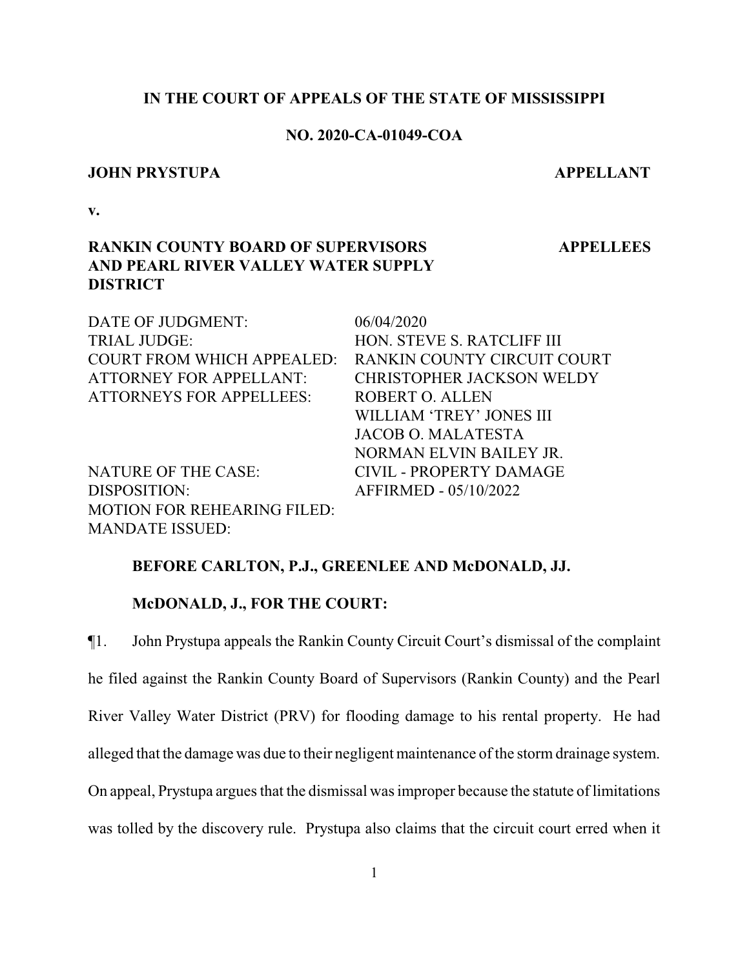#### **IN THE COURT OF APPEALS OF THE STATE OF MISSISSIPPI**

# **NO. 2020-CA-01049-COA**

#### **JOHN PRYSTUPA APPELLANT**

 **APPELLEES**

**v.**

# **RANKIN COUNTY BOARD OF SUPERVISORS AND PEARL RIVER VALLEY WATER SUPPLY DISTRICT**

DATE OF JUDGMENT: 06/04/2020 TRIAL JUDGE: HON. STEVE S. RATCLIFF III COURT FROM WHICH APPEALED: RANKIN COUNTY CIRCUIT COURT ATTORNEY FOR APPELLANT: CHRISTOPHER JACKSON WELDY ATTORNEYS FOR APPELLEES: ROBERT O. ALLEN WILLIAM 'TREY' JONES III JACOB O. MALATESTA NORMAN ELVIN BAILEY JR. NATURE OF THE CASE: CIVIL - PROPERTY DAMAGE DISPOSITION: AFFIRMED - 05/10/2022 MOTION FOR REHEARING FILED: MANDATE ISSUED:

#### **BEFORE CARLTON, P.J., GREENLEE AND McDONALD, JJ.**

#### **McDONALD, J., FOR THE COURT:**

¶1. John Prystupa appeals the Rankin County Circuit Court's dismissal of the complaint he filed against the Rankin County Board of Supervisors (Rankin County) and the Pearl River Valley Water District (PRV) for flooding damage to his rental property. He had alleged that the damage was due to their negligent maintenance of the storm drainage system. On appeal, Prystupa argues that the dismissal was improper because the statute of limitations was tolled by the discovery rule. Prystupa also claims that the circuit court erred when it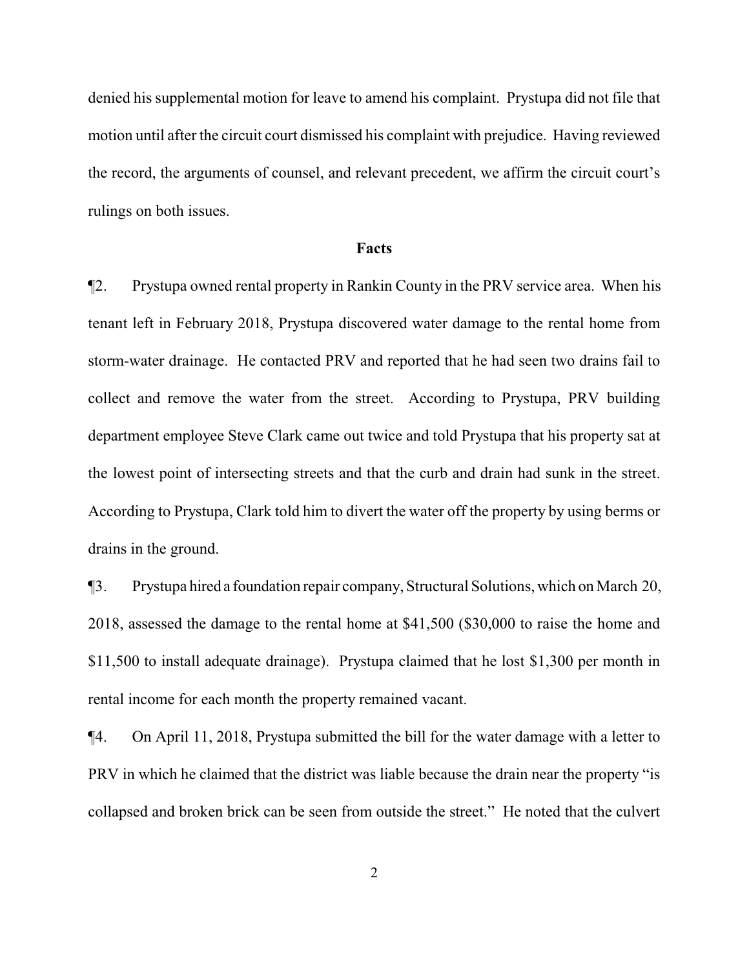denied his supplemental motion for leave to amend his complaint. Prystupa did not file that motion until after the circuit court dismissed his complaint with prejudice. Having reviewed the record, the arguments of counsel, and relevant precedent, we affirm the circuit court's rulings on both issues.

#### **Facts**

¶2. Prystupa owned rental property in Rankin County in the PRV service area. When his tenant left in February 2018, Prystupa discovered water damage to the rental home from storm-water drainage. He contacted PRV and reported that he had seen two drains fail to collect and remove the water from the street. According to Prystupa, PRV building department employee Steve Clark came out twice and told Prystupa that his property sat at the lowest point of intersecting streets and that the curb and drain had sunk in the street. According to Prystupa, Clark told him to divert the water off the property by using berms or drains in the ground.

¶3. Prystupa hired a foundation repair company, Structural Solutions, which on March 20, 2018, assessed the damage to the rental home at \$41,500 (\$30,000 to raise the home and \$11,500 to install adequate drainage). Prystupa claimed that he lost \$1,300 per month in rental income for each month the property remained vacant.

¶4. On April 11, 2018, Prystupa submitted the bill for the water damage with a letter to PRV in which he claimed that the district was liable because the drain near the property "is collapsed and broken brick can be seen from outside the street." He noted that the culvert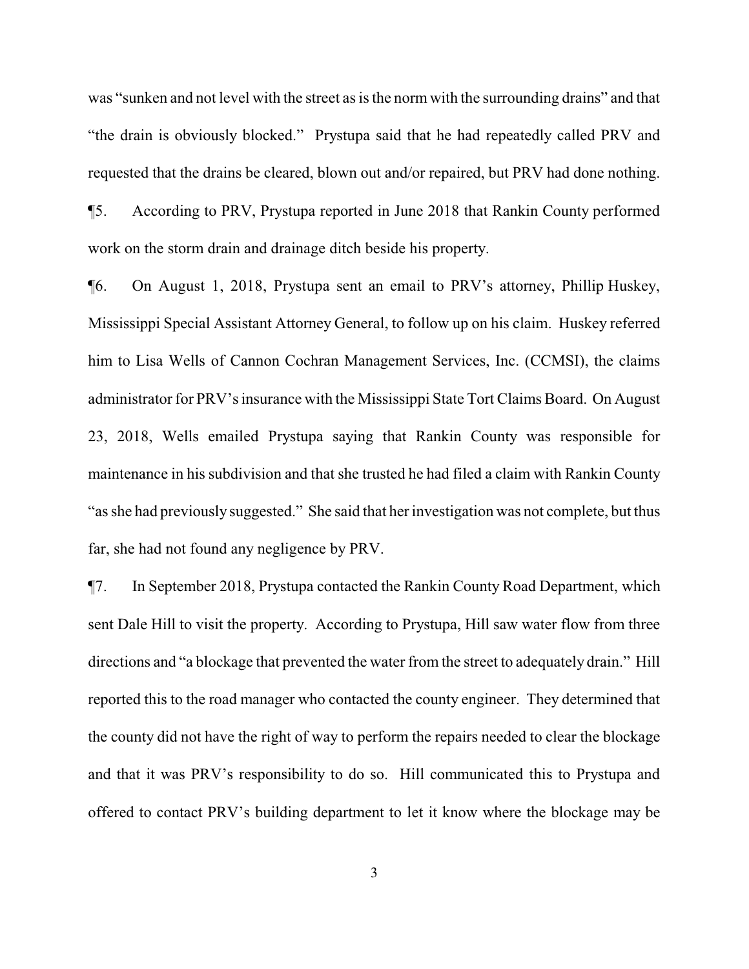was "sunken and not level with the street as is the normwith the surrounding drains" and that "the drain is obviously blocked." Prystupa said that he had repeatedly called PRV and requested that the drains be cleared, blown out and/or repaired, but PRV had done nothing. ¶5. According to PRV, Prystupa reported in June 2018 that Rankin County performed work on the storm drain and drainage ditch beside his property.

¶6. On August 1, 2018, Prystupa sent an email to PRV's attorney, Phillip Huskey, Mississippi Special Assistant Attorney General, to follow up on his claim. Huskey referred him to Lisa Wells of Cannon Cochran Management Services, Inc. (CCMSI), the claims administrator for PRV's insurance with the Mississippi State Tort Claims Board. On August 23, 2018, Wells emailed Prystupa saying that Rankin County was responsible for maintenance in his subdivision and that she trusted he had filed a claim with Rankin County "as she had previously suggested." She said that her investigation was not complete, but thus far, she had not found any negligence by PRV.

¶7. In September 2018, Prystupa contacted the Rankin County Road Department, which sent Dale Hill to visit the property. According to Prystupa, Hill saw water flow from three directions and "a blockage that prevented the water from the street to adequately drain." Hill reported this to the road manager who contacted the county engineer. They determined that the county did not have the right of way to perform the repairs needed to clear the blockage and that it was PRV's responsibility to do so. Hill communicated this to Prystupa and offered to contact PRV's building department to let it know where the blockage may be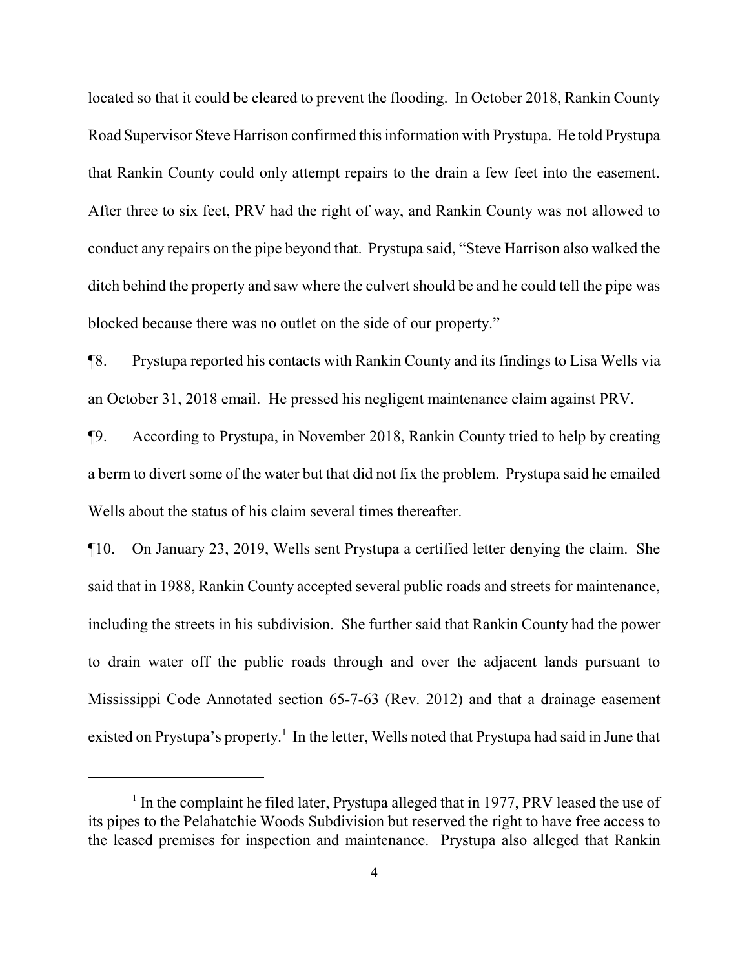located so that it could be cleared to prevent the flooding. In October 2018, Rankin County Road Supervisor Steve Harrison confirmed this information with Prystupa. He told Prystupa that Rankin County could only attempt repairs to the drain a few feet into the easement. After three to six feet, PRV had the right of way, and Rankin County was not allowed to conduct any repairs on the pipe beyond that. Prystupa said, "Steve Harrison also walked the ditch behind the property and saw where the culvert should be and he could tell the pipe was blocked because there was no outlet on the side of our property."

¶8. Prystupa reported his contacts with Rankin County and its findings to Lisa Wells via an October 31, 2018 email. He pressed his negligent maintenance claim against PRV.

¶9. According to Prystupa, in November 2018, Rankin County tried to help by creating a berm to divert some of the water but that did not fix the problem. Prystupa said he emailed Wells about the status of his claim several times thereafter.

¶10. On January 23, 2019, Wells sent Prystupa a certified letter denying the claim. She said that in 1988, Rankin County accepted several public roads and streets for maintenance, including the streets in his subdivision. She further said that Rankin County had the power to drain water off the public roads through and over the adjacent lands pursuant to Mississippi Code Annotated section 65-7-63 (Rev. 2012) and that a drainage easement existed on Prystupa's property.<sup>1</sup> In the letter, Wells noted that Prystupa had said in June that

<sup>&</sup>lt;sup>1</sup> In the complaint he filed later, Prystupa alleged that in 1977, PRV leased the use of its pipes to the Pelahatchie Woods Subdivision but reserved the right to have free access to the leased premises for inspection and maintenance. Prystupa also alleged that Rankin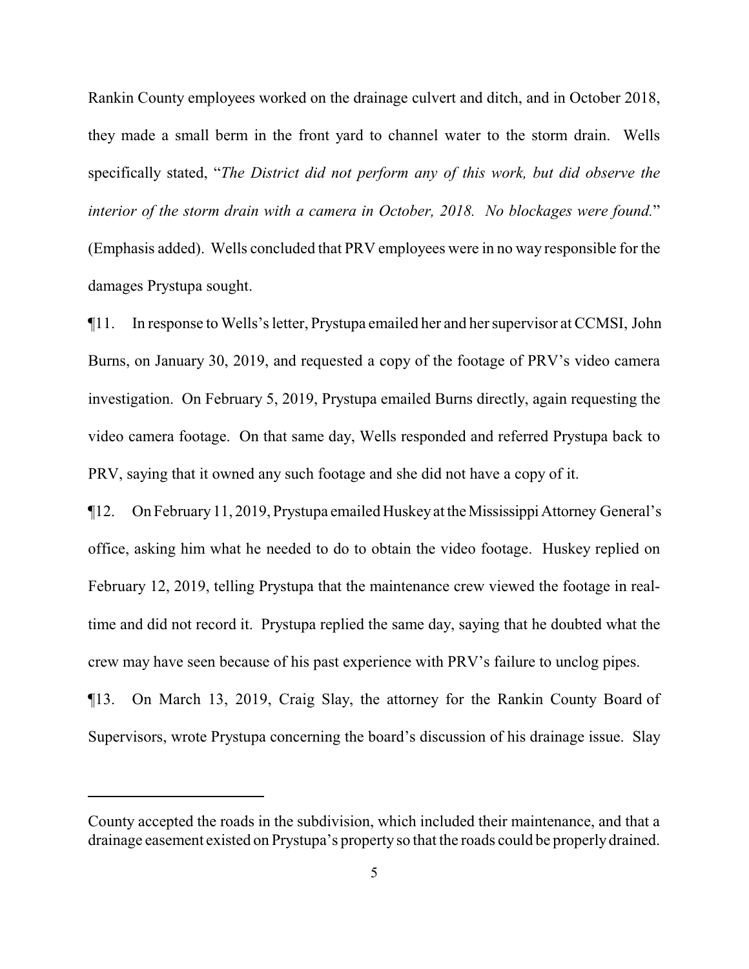Rankin County employees worked on the drainage culvert and ditch, and in October 2018, they made a small berm in the front yard to channel water to the storm drain. Wells specifically stated, "*The District did not perform any of this work, but did observe the interior of the storm drain with a camera in October, 2018. No blockages were found.*" (Emphasis added). Wells concluded that PRV employees were in no way responsible for the damages Prystupa sought.

¶11. In response to Wells's letter, Prystupa emailed her and her supervisor at CCMSI, John Burns, on January 30, 2019, and requested a copy of the footage of PRV's video camera investigation. On February 5, 2019, Prystupa emailed Burns directly, again requesting the video camera footage. On that same day, Wells responded and referred Prystupa back to PRV, saying that it owned any such footage and she did not have a copy of it.

¶12. On February11, 2019, Prystupa emailed Huskeyat theMississippiAttorney General's office, asking him what he needed to do to obtain the video footage. Huskey replied on February 12, 2019, telling Prystupa that the maintenance crew viewed the footage in realtime and did not record it. Prystupa replied the same day, saying that he doubted what the crew may have seen because of his past experience with PRV's failure to unclog pipes.

¶13. On March 13, 2019, Craig Slay, the attorney for the Rankin County Board of Supervisors, wrote Prystupa concerning the board's discussion of his drainage issue. Slay

County accepted the roads in the subdivision, which included their maintenance, and that a drainage easement existed on Prystupa's property so that the roads could be properlydrained.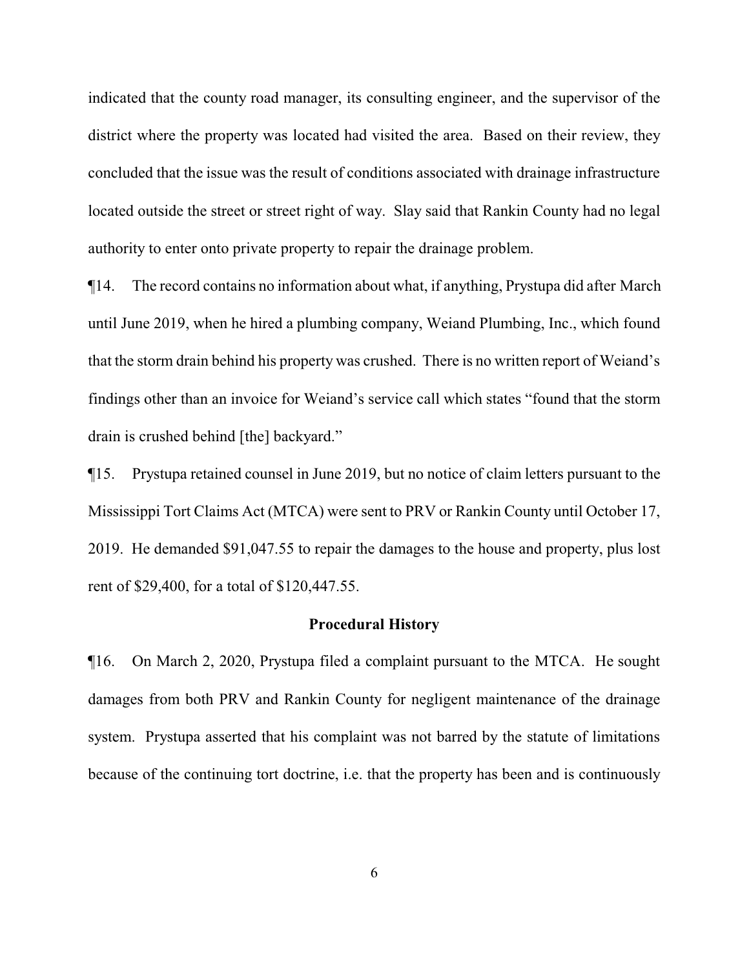indicated that the county road manager, its consulting engineer, and the supervisor of the district where the property was located had visited the area. Based on their review, they concluded that the issue was the result of conditions associated with drainage infrastructure located outside the street or street right of way. Slay said that Rankin County had no legal authority to enter onto private property to repair the drainage problem.

¶14. The record contains no information about what, if anything, Prystupa did after March until June 2019, when he hired a plumbing company, Weiand Plumbing, Inc., which found that the storm drain behind his property was crushed. There is no written report of Weiand's findings other than an invoice for Weiand's service call which states "found that the storm drain is crushed behind [the] backyard."

¶15. Prystupa retained counsel in June 2019, but no notice of claim letters pursuant to the Mississippi Tort Claims Act (MTCA) were sent to PRV or Rankin County until October 17, 2019. He demanded \$91,047.55 to repair the damages to the house and property, plus lost rent of \$29,400, for a total of \$120,447.55.

#### **Procedural History**

¶16. On March 2, 2020, Prystupa filed a complaint pursuant to the MTCA. He sought damages from both PRV and Rankin County for negligent maintenance of the drainage system. Prystupa asserted that his complaint was not barred by the statute of limitations because of the continuing tort doctrine, i.e. that the property has been and is continuously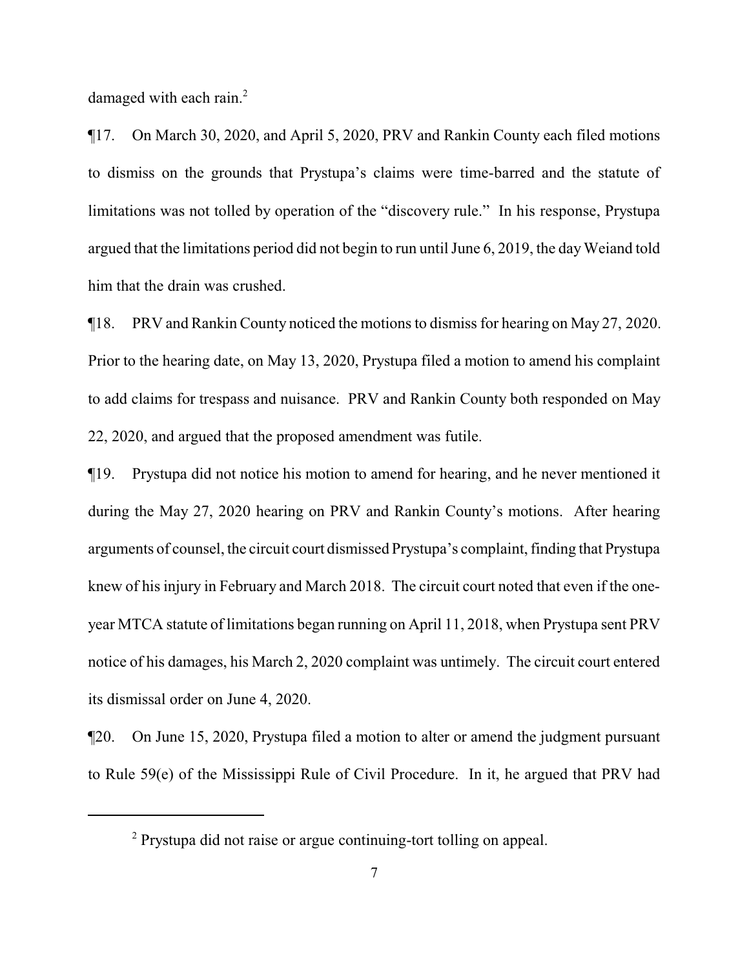damaged with each rain.<sup>2</sup>

¶17. On March 30, 2020, and April 5, 2020, PRV and Rankin County each filed motions to dismiss on the grounds that Prystupa's claims were time-barred and the statute of limitations was not tolled by operation of the "discovery rule." In his response, Prystupa argued that the limitations period did not begin to run until June 6, 2019, the dayWeiand told him that the drain was crushed.

¶18. PRV and Rankin County noticed the motions to dismiss for hearing on May 27, 2020. Prior to the hearing date, on May 13, 2020, Prystupa filed a motion to amend his complaint to add claims for trespass and nuisance. PRV and Rankin County both responded on May 22, 2020, and argued that the proposed amendment was futile.

¶19. Prystupa did not notice his motion to amend for hearing, and he never mentioned it during the May 27, 2020 hearing on PRV and Rankin County's motions. After hearing arguments of counsel, the circuit court dismissed Prystupa's complaint, finding that Prystupa knew of his injury in February and March 2018. The circuit court noted that even if the oneyear MTCA statute of limitations began running on April 11, 2018, when Prystupa sent PRV notice of his damages, his March 2, 2020 complaint was untimely. The circuit court entered its dismissal order on June 4, 2020.

¶20. On June 15, 2020, Prystupa filed a motion to alter or amend the judgment pursuant to Rule 59(e) of the Mississippi Rule of Civil Procedure. In it, he argued that PRV had

<sup>&</sup>lt;sup>2</sup> Prystupa did not raise or argue continuing-tort tolling on appeal.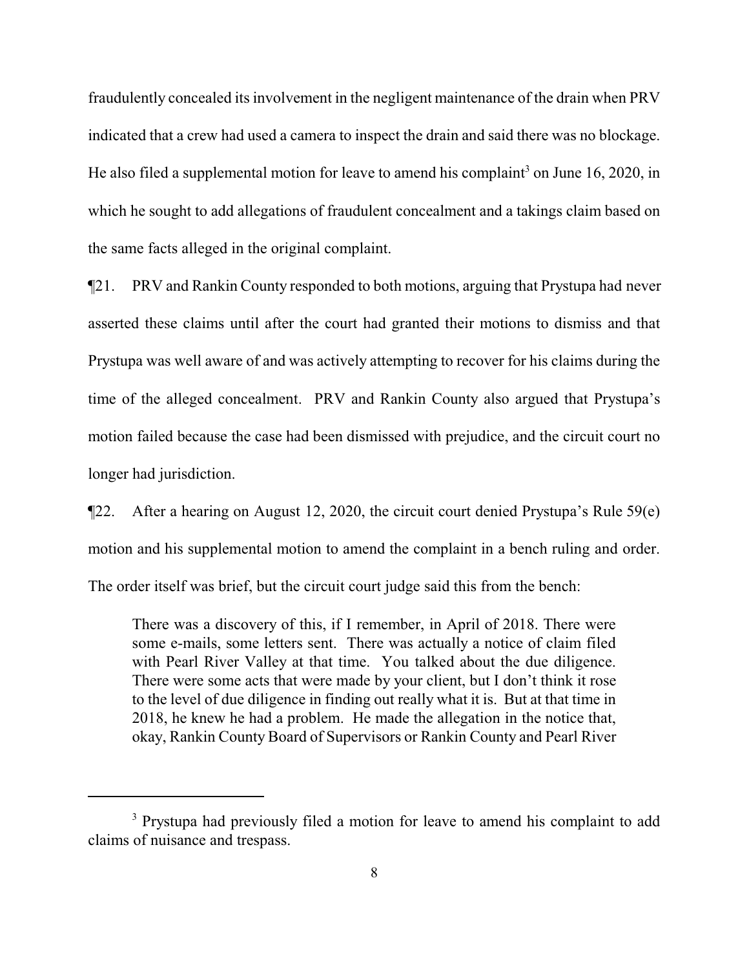fraudulently concealed its involvement in the negligent maintenance of the drain when PRV indicated that a crew had used a camera to inspect the drain and said there was no blockage. He also filed a supplemental motion for leave to amend his complaint<sup>3</sup> on June 16, 2020, in which he sought to add allegations of fraudulent concealment and a takings claim based on the same facts alleged in the original complaint.

¶21. PRV and Rankin County responded to both motions, arguing that Prystupa had never asserted these claims until after the court had granted their motions to dismiss and that Prystupa was well aware of and was actively attempting to recover for his claims during the time of the alleged concealment. PRV and Rankin County also argued that Prystupa's motion failed because the case had been dismissed with prejudice, and the circuit court no longer had jurisdiction.

¶22. After a hearing on August 12, 2020, the circuit court denied Prystupa's Rule 59(e) motion and his supplemental motion to amend the complaint in a bench ruling and order. The order itself was brief, but the circuit court judge said this from the bench:

There was a discovery of this, if I remember, in April of 2018. There were some e-mails, some letters sent. There was actually a notice of claim filed with Pearl River Valley at that time. You talked about the due diligence. There were some acts that were made by your client, but I don't think it rose to the level of due diligence in finding out really what it is. But at that time in 2018, he knew he had a problem. He made the allegation in the notice that, okay, Rankin County Board of Supervisors or Rankin County and Pearl River

<sup>&</sup>lt;sup>3</sup> Prystupa had previously filed a motion for leave to amend his complaint to add claims of nuisance and trespass.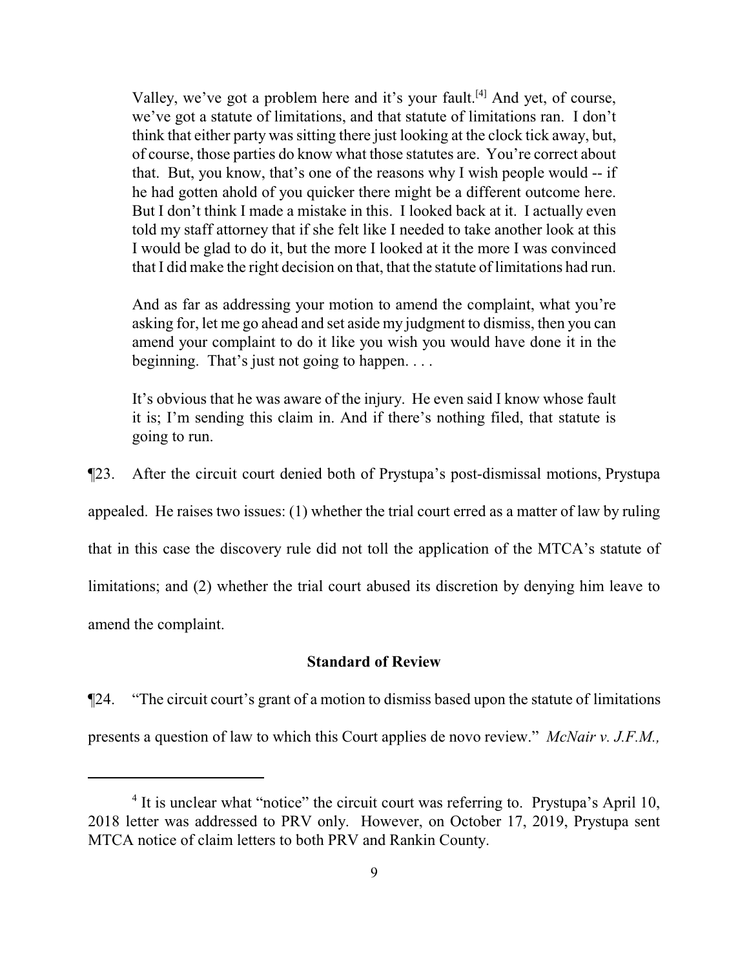Valley, we've got a problem here and it's your fault.<sup>[4]</sup> And yet, of course, we've got a statute of limitations, and that statute of limitations ran. I don't think that either party was sitting there just looking at the clock tick away, but, of course, those parties do know what those statutes are. You're correct about that. But, you know, that's one of the reasons why I wish people would -- if he had gotten ahold of you quicker there might be a different outcome here. But I don't think I made a mistake in this. I looked back at it. I actually even told my staff attorney that if she felt like I needed to take another look at this I would be glad to do it, but the more I looked at it the more I was convinced that I did make the right decision on that, that the statute of limitations had run.

And as far as addressing your motion to amend the complaint, what you're asking for, let me go ahead and set aside my judgment to dismiss, then you can amend your complaint to do it like you wish you would have done it in the beginning. That's just not going to happen. . . .

It's obvious that he was aware of the injury. He even said I know whose fault it is; I'm sending this claim in. And if there's nothing filed, that statute is going to run.

¶23. After the circuit court denied both of Prystupa's post-dismissal motions, Prystupa appealed. He raises two issues: (1) whether the trial court erred as a matter of law by ruling that in this case the discovery rule did not toll the application of the MTCA's statute of limitations; and (2) whether the trial court abused its discretion by denying him leave to amend the complaint.

# **Standard of Review**

¶24. "The circuit court's grant of a motion to dismiss based upon the statute of limitations presents a question of law to which this Court applies de novo review." *McNair v. J.F.M.,*

<sup>&</sup>lt;sup>4</sup> It is unclear what "notice" the circuit court was referring to. Prystupa's April 10, 2018 letter was addressed to PRV only. However, on October 17, 2019, Prystupa sent MTCA notice of claim letters to both PRV and Rankin County.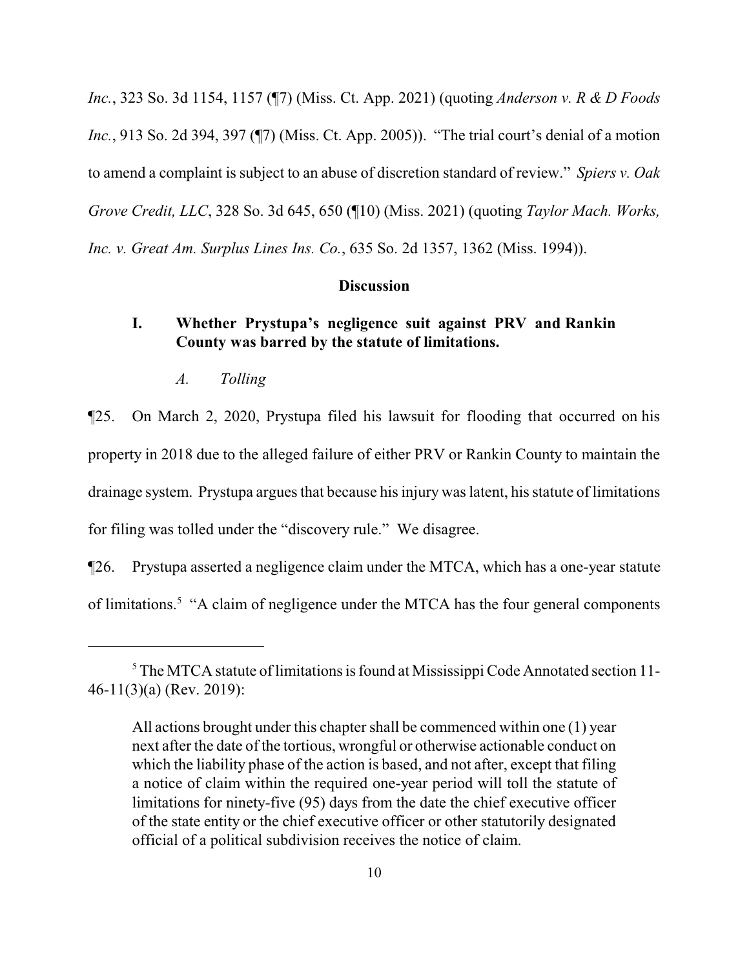*Inc.*, 323 So. 3d 1154, 1157 (¶7) (Miss. Ct. App. 2021) (quoting *Anderson v. R & D Foods Inc.*, 913 So. 2d 394, 397 (¶7) (Miss. Ct. App. 2005)). "The trial court's denial of a motion to amend a complaint is subject to an abuse of discretion standard of review." *Spiers v. Oak Grove Credit, LLC*, 328 So. 3d 645, 650 (¶10) (Miss. 2021) (quoting *Taylor Mach. Works, Inc. v. Great Am. Surplus Lines Ins. Co.*, 635 So. 2d 1357, 1362 (Miss. 1994)).

#### **Discussion**

# **I. Whether Prystupa's negligence suit against PRV and Rankin County was barred by the statute of limitations.**

*A. Tolling*

¶25. On March 2, 2020, Prystupa filed his lawsuit for flooding that occurred on his property in 2018 due to the alleged failure of either PRV or Rankin County to maintain the drainage system. Prystupa argues that because his injury was latent, his statute of limitations for filing was tolled under the "discovery rule." We disagree.

¶26. Prystupa asserted a negligence claim under the MTCA, which has a one-year statute of limitations.<sup>5</sup> "A claim of negligence under the MTCA has the four general components

<sup>5</sup> The MTCA statute of limitations is found at Mississippi Code Annotated section 11- 46-11(3)(a) (Rev. 2019):

All actions brought under this chapter shall be commenced within one (1) year next after the date of the tortious, wrongful or otherwise actionable conduct on which the liability phase of the action is based, and not after, except that filing a notice of claim within the required one-year period will toll the statute of limitations for ninety-five (95) days from the date the chief executive officer of the state entity or the chief executive officer or other statutorily designated official of a political subdivision receives the notice of claim.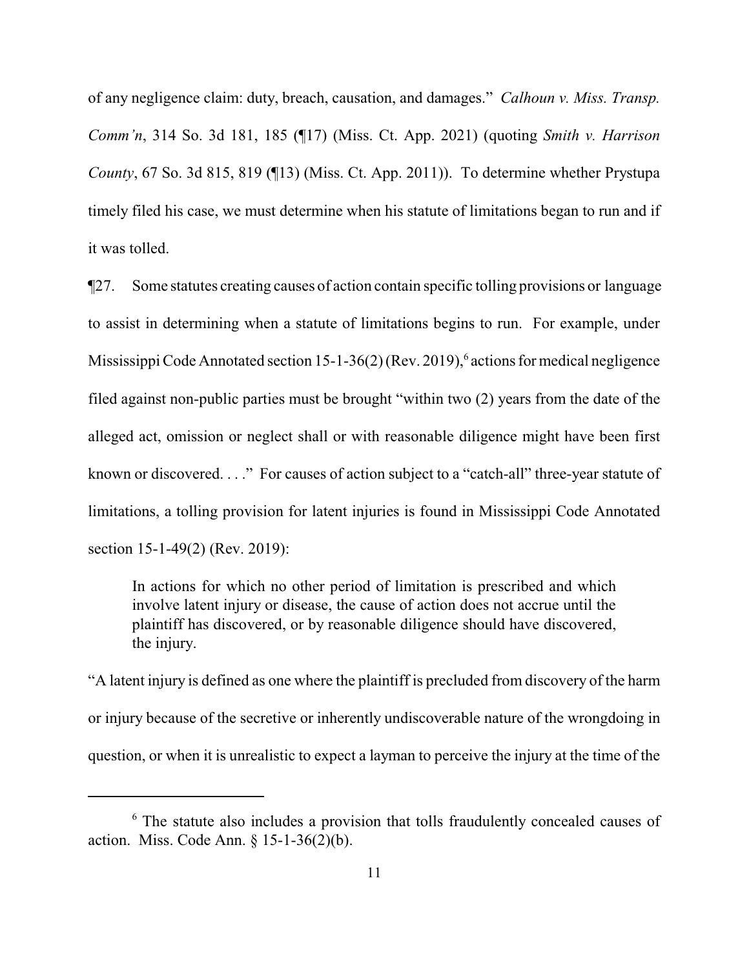of any negligence claim: duty, breach, causation, and damages." *Calhoun v. Miss. Transp. Comm'n*, 314 So. 3d 181, 185 (¶17) (Miss. Ct. App. 2021) (quoting *Smith v. Harrison County*, 67 So. 3d 815, 819 (¶13) (Miss. Ct. App. 2011)). To determine whether Prystupa timely filed his case, we must determine when his statute of limitations began to run and if it was tolled.

¶27. Some statutes creating causes of action contain specific tolling provisions or language to assist in determining when a statute of limitations begins to run. For example, under Mississippi Code Annotated section 15-1-36(2) (Rev. 2019),<sup>6</sup> actions for medical negligence filed against non-public parties must be brought "within two (2) years from the date of the alleged act, omission or neglect shall or with reasonable diligence might have been first known or discovered. . . ." For causes of action subject to a "catch-all" three-year statute of limitations, a tolling provision for latent injuries is found in Mississippi Code Annotated section 15-1-49(2) (Rev. 2019):

In actions for which no other period of limitation is prescribed and which involve latent injury or disease, the cause of action does not accrue until the plaintiff has discovered, or by reasonable diligence should have discovered, the injury.

"A latent injury is defined as one where the plaintiff is precluded from discovery of the harm or injury because of the secretive or inherently undiscoverable nature of the wrongdoing in question, or when it is unrealistic to expect a layman to perceive the injury at the time of the

<sup>&</sup>lt;sup>6</sup> The statute also includes a provision that tolls fraudulently concealed causes of action. Miss. Code Ann. § 15-1-36(2)(b).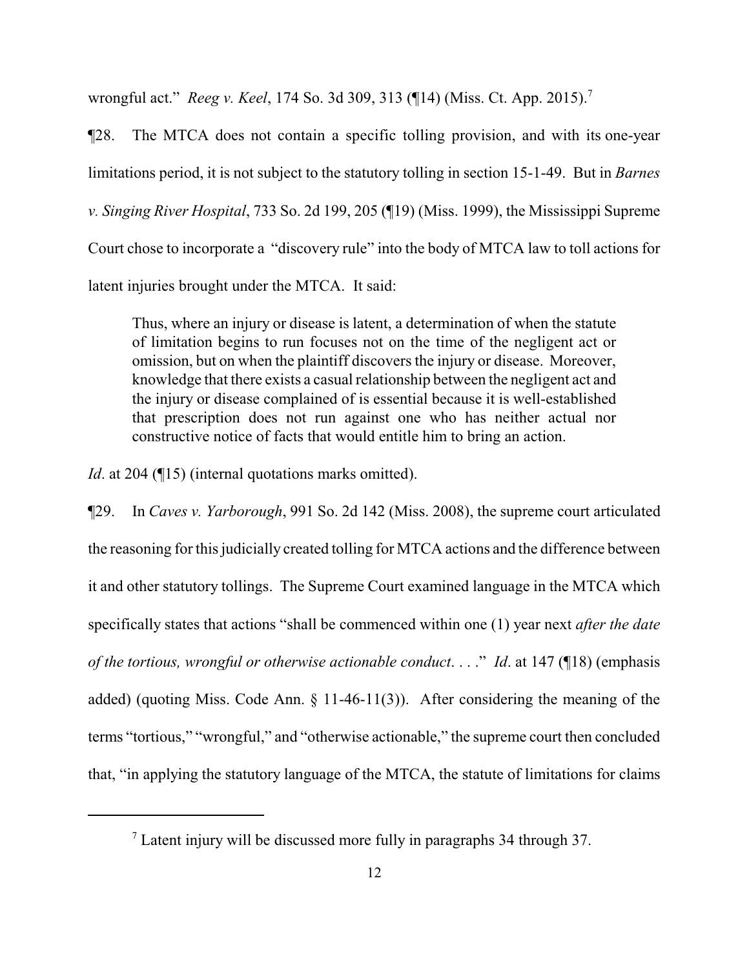wrongful act." *Reeg v. Keel*, 174 So. 3d 309, 313 (¶14) (Miss. Ct. App. 2015).<sup>7</sup>

¶28. The MTCA does not contain a specific tolling provision, and with its one-year limitations period, it is not subject to the statutory tolling in section 15-1-49. But in *Barnes v. Singing River Hospital*, 733 So. 2d 199, 205 (¶19) (Miss. 1999), the Mississippi Supreme Court chose to incorporate a "discovery rule" into the body of MTCA law to toll actions for latent injuries brought under the MTCA. It said:

Thus, where an injury or disease is latent, a determination of when the statute of limitation begins to run focuses not on the time of the negligent act or omission, but on when the plaintiff discovers the injury or disease. Moreover, knowledge that there exists a casual relationship between the negligent act and the injury or disease complained of is essential because it is well-established that prescription does not run against one who has neither actual nor constructive notice of facts that would entitle him to bring an action.

*Id*. at 204 (¶15) (internal quotations marks omitted).

¶29. In *Caves v. Yarborough*, 991 So. 2d 142 (Miss. 2008), the supreme court articulated the reasoning for this judicially created tolling for MTCA actions and the difference between it and other statutory tollings. The Supreme Court examined language in the MTCA which specifically states that actions "shall be commenced within one (1) year next *after the date of the tortious, wrongful or otherwise actionable conduct*. . . ." *Id*. at 147 (¶18) (emphasis added) (quoting Miss. Code Ann. § 11-46-11(3)). After considering the meaning of the terms "tortious," "wrongful," and "otherwise actionable," the supreme court then concluded that, "in applying the statutory language of the MTCA, the statute of limitations for claims

 $<sup>7</sup>$  Latent injury will be discussed more fully in paragraphs 34 through 37.</sup>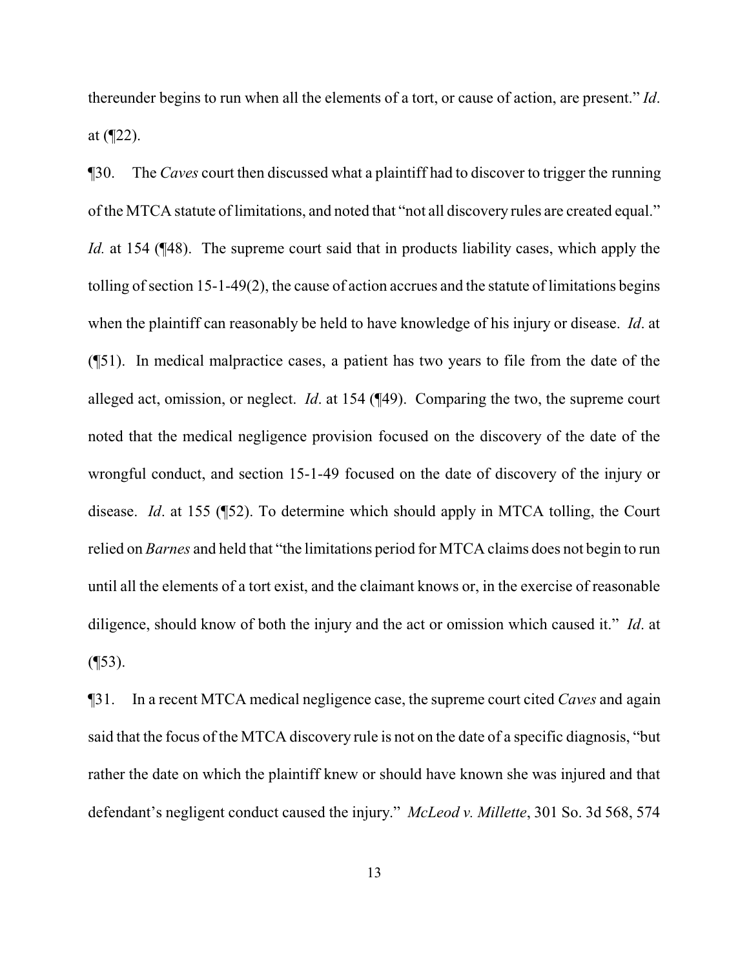thereunder begins to run when all the elements of a tort, or cause of action, are present." *Id*. at (¶22).

¶30. The *Caves* court then discussed what a plaintiff had to discover to trigger the running of the MTCA statute of limitations, and noted that "not all discovery rules are created equal." *Id.* at 154 (¶48). The supreme court said that in products liability cases, which apply the tolling of section 15-1-49(2), the cause of action accrues and the statute of limitations begins when the plaintiff can reasonably be held to have knowledge of his injury or disease. *Id*. at (¶51). In medical malpractice cases, a patient has two years to file from the date of the alleged act, omission, or neglect. *Id*. at 154 (¶49). Comparing the two, the supreme court noted that the medical negligence provision focused on the discovery of the date of the wrongful conduct, and section 15-1-49 focused on the date of discovery of the injury or disease. *Id*. at 155 (¶52). To determine which should apply in MTCA tolling, the Court relied on *Barnes* and held that "the limitations period for MTCA claims does not begin to run until all the elements of a tort exist, and the claimant knows or, in the exercise of reasonable diligence, should know of both the injury and the act or omission which caused it." *Id*. at  $($ [53).

¶31. In a recent MTCA medical negligence case, the supreme court cited *Caves* and again said that the focus of the MTCA discovery rule is not on the date of a specific diagnosis, "but rather the date on which the plaintiff knew or should have known she was injured and that defendant's negligent conduct caused the injury." *McLeod v. Millette*, 301 So. 3d 568, 574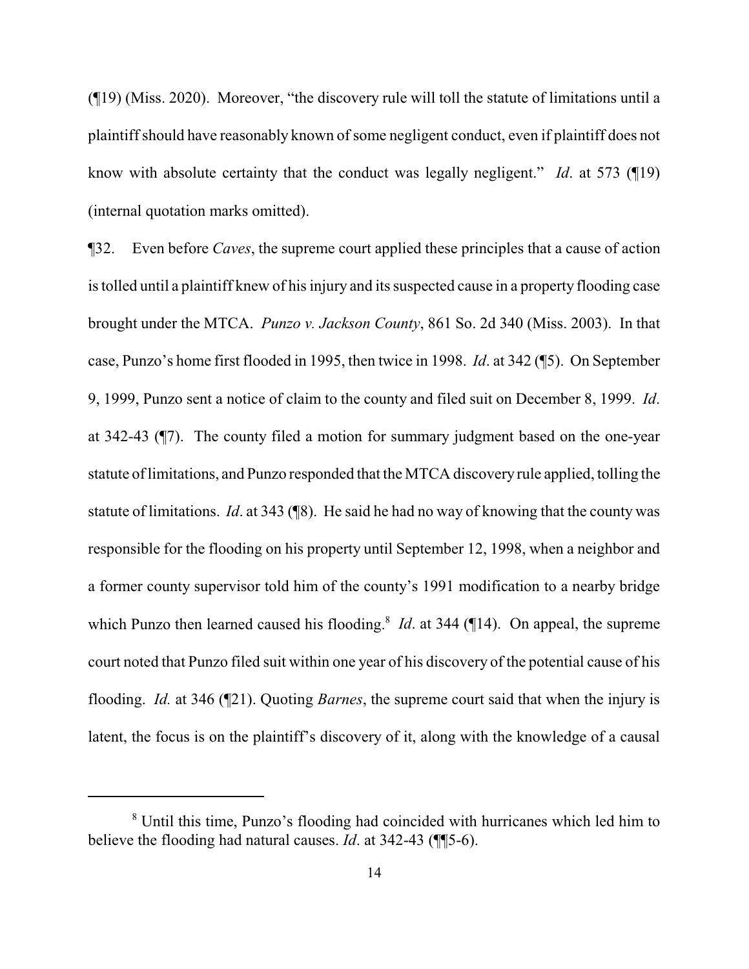(¶19) (Miss. 2020). Moreover, "the discovery rule will toll the statute of limitations until a plaintiffshould have reasonably known of some negligent conduct, even if plaintiff does not know with absolute certainty that the conduct was legally negligent." *Id*. at 573 (¶19) (internal quotation marks omitted).

¶32. Even before *Caves*, the supreme court applied these principles that a cause of action is tolled until a plaintiff knew of his injury and its suspected cause in a property flooding case brought under the MTCA. *Punzo v. Jackson County*, 861 So. 2d 340 (Miss. 2003). In that case, Punzo's home first flooded in 1995, then twice in 1998. *Id*. at 342 (¶5). On September 9, 1999, Punzo sent a notice of claim to the county and filed suit on December 8, 1999. *Id*. at 342-43 (¶7). The county filed a motion for summary judgment based on the one-year statute of limitations, and Punzo responded that the MTCA discovery rule applied, tolling the statute of limitations. *Id*. at 343 (¶8). He said he had no way of knowing that the county was responsible for the flooding on his property until September 12, 1998, when a neighbor and a former county supervisor told him of the county's 1991 modification to a nearby bridge which Punzo then learned caused his flooding.<sup>8</sup> *Id*. at 344 (14). On appeal, the supreme court noted that Punzo filed suit within one year of his discovery of the potential cause of his flooding. *Id.* at 346 (¶21). Quoting *Barnes*, the supreme court said that when the injury is latent, the focus is on the plaintiff's discovery of it, along with the knowledge of a causal

<sup>8</sup> Until this time, Punzo's flooding had coincided with hurricanes which led him to believe the flooding had natural causes. *Id*. at 342-43 (¶¶5-6).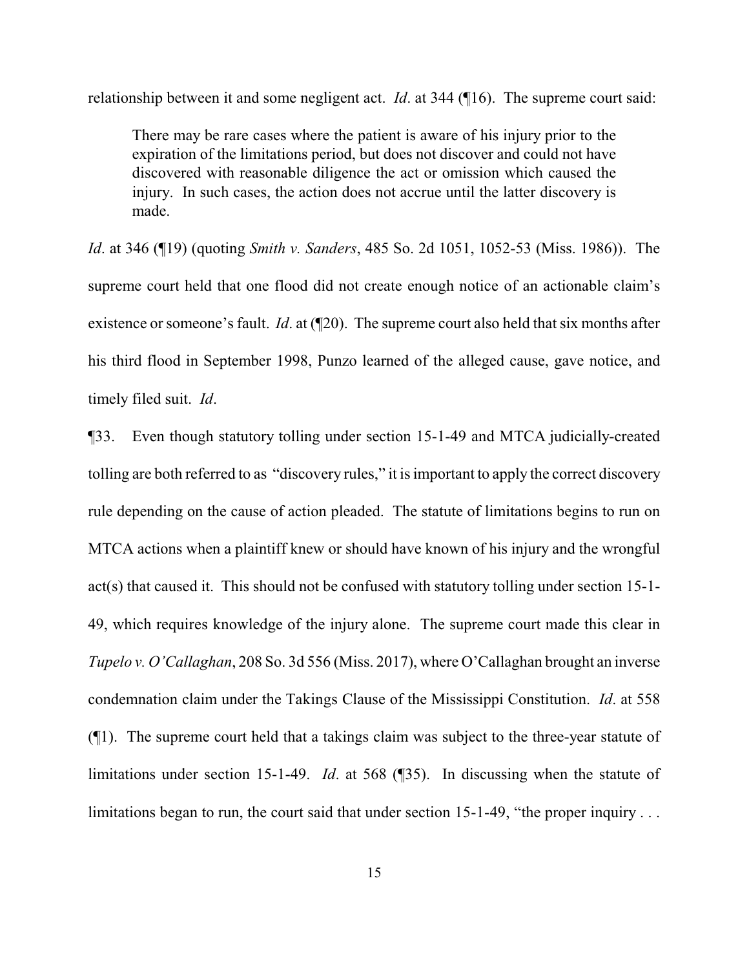relationship between it and some negligent act. *Id*. at 344 (¶16). The supreme court said:

There may be rare cases where the patient is aware of his injury prior to the expiration of the limitations period, but does not discover and could not have discovered with reasonable diligence the act or omission which caused the injury. In such cases, the action does not accrue until the latter discovery is made.

*Id*. at 346 (¶19) (quoting *Smith v. Sanders*, 485 So. 2d 1051, 1052-53 (Miss. 1986)). The supreme court held that one flood did not create enough notice of an actionable claim's existence or someone's fault. *Id*. at (¶20). The supreme court also held that six months after his third flood in September 1998, Punzo learned of the alleged cause, gave notice, and timely filed suit. *Id*.

¶33. Even though statutory tolling under section 15-1-49 and MTCA judicially-created tolling are both referred to as "discovery rules," it is important to apply the correct discovery rule depending on the cause of action pleaded. The statute of limitations begins to run on MTCA actions when a plaintiff knew or should have known of his injury and the wrongful act(s) that caused it. This should not be confused with statutory tolling under section 15-1- 49, which requires knowledge of the injury alone. The supreme court made this clear in *Tupelo v. O'Callaghan*, 208 So. 3d 556 (Miss. 2017), where O'Callaghan brought an inverse condemnation claim under the Takings Clause of the Mississippi Constitution. *Id*. at 558 (¶1). The supreme court held that a takings claim was subject to the three-year statute of limitations under section 15-1-49. *Id*. at 568 (¶35). In discussing when the statute of limitations began to run, the court said that under section 15-1-49, "the proper inquiry . . .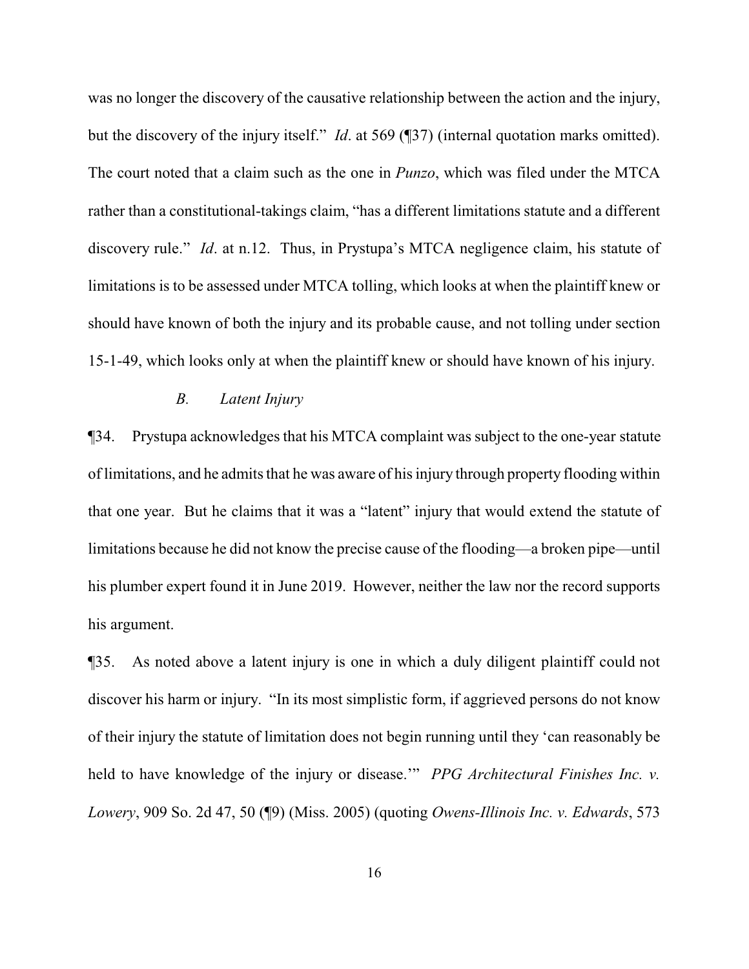was no longer the discovery of the causative relationship between the action and the injury, but the discovery of the injury itself." *Id*. at 569 (¶37) (internal quotation marks omitted). The court noted that a claim such as the one in *Punzo*, which was filed under the MTCA rather than a constitutional-takings claim, "has a different limitations statute and a different discovery rule." *Id*. at n.12. Thus, in Prystupa's MTCA negligence claim, his statute of limitations is to be assessed under MTCA tolling, which looks at when the plaintiff knew or should have known of both the injury and its probable cause, and not tolling under section 15-1-49, which looks only at when the plaintiff knew or should have known of his injury.

# *B. Latent Injury*

¶34. Prystupa acknowledges that his MTCA complaint was subject to the one-year statute of limitations, and he admits that he was aware of his injury through property flooding within that one year. But he claims that it was a "latent" injury that would extend the statute of limitations because he did not know the precise cause of the flooding—a broken pipe—until his plumber expert found it in June 2019. However, neither the law nor the record supports his argument.

¶35. As noted above a latent injury is one in which a duly diligent plaintiff could not discover his harm or injury. "In its most simplistic form, if aggrieved persons do not know of their injury the statute of limitation does not begin running until they 'can reasonably be held to have knowledge of the injury or disease.'" *PPG Architectural Finishes Inc. v. Lowery*, 909 So. 2d 47, 50 (¶9) (Miss. 2005) (quoting *Owens-Illinois Inc. v. Edwards*, 573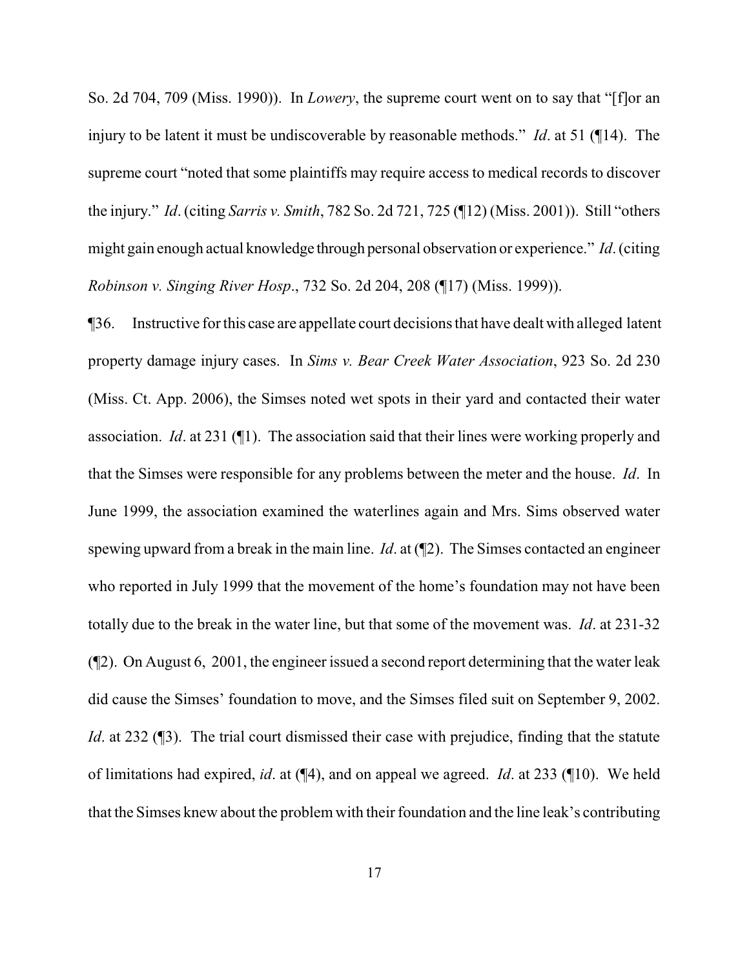So. 2d 704, 709 (Miss. 1990)). In *Lowery*, the supreme court went on to say that "[f]or an injury to be latent it must be undiscoverable by reasonable methods." *Id*. at 51 (¶14). The supreme court "noted that some plaintiffs may require access to medical records to discover the injury." *Id*. (citing *Sarris v. Smith*, 782 So. 2d 721, 725 (¶12) (Miss. 2001)). Still "others might gain enough actual knowledge through personal observation or experience." *Id*. (citing *Robinson v. Singing River Hosp*., 732 So. 2d 204, 208 (¶17) (Miss. 1999)).

¶36. Instructive for this case are appellate court decisions that have dealt with alleged latent property damage injury cases. In *Sims v. Bear Creek Water Association*, 923 So. 2d 230 (Miss. Ct. App. 2006), the Simses noted wet spots in their yard and contacted their water association. *Id*. at 231 (¶1). The association said that their lines were working properly and that the Simses were responsible for any problems between the meter and the house. *Id*. In June 1999, the association examined the waterlines again and Mrs. Sims observed water spewing upward from a break in the main line. *Id*. at (¶2). The Simses contacted an engineer who reported in July 1999 that the movement of the home's foundation may not have been totally due to the break in the water line, but that some of the movement was. *Id*. at 231-32 (¶2). On August 6, 2001, the engineer issued a second report determining that the water leak did cause the Simses' foundation to move, and the Simses filed suit on September 9, 2002. *Id.* at 232 (13). The trial court dismissed their case with prejudice, finding that the statute of limitations had expired, *id*. at (¶4), and on appeal we agreed. *Id*. at 233 (¶10). We held that the Simses knew about the problemwith their foundation and the line leak's contributing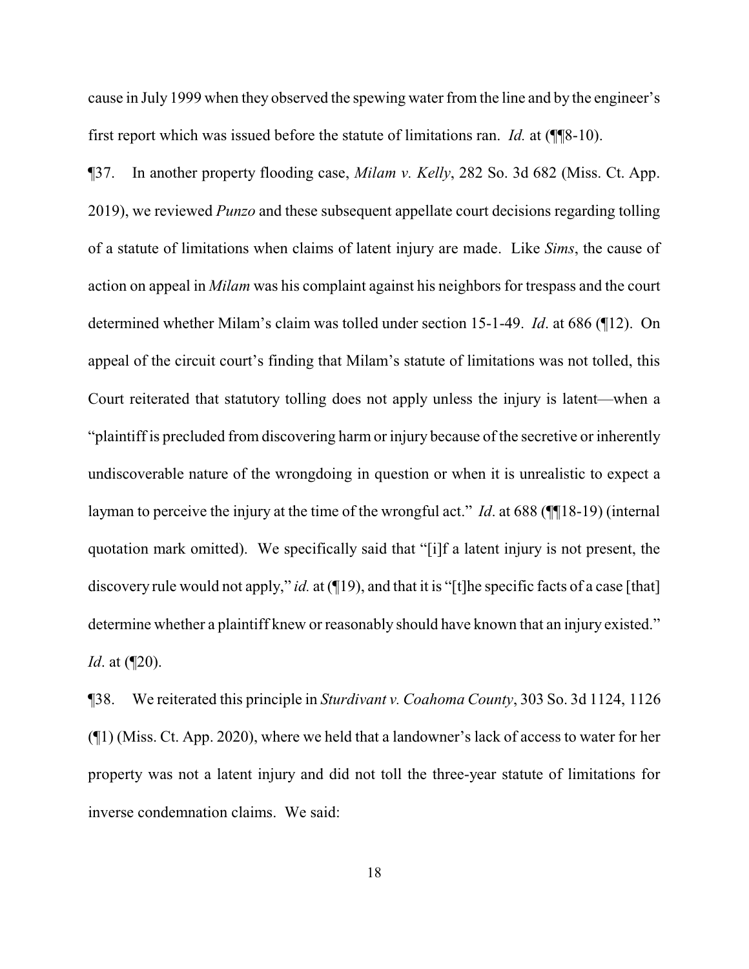cause in July 1999 when they observed the spewing water from the line and by the engineer's first report which was issued before the statute of limitations ran. *Id.* at (¶¶8-10).

¶37. In another property flooding case, *Milam v. Kelly*, 282 So. 3d 682 (Miss. Ct. App. 2019), we reviewed *Punzo* and these subsequent appellate court decisions regarding tolling of a statute of limitations when claims of latent injury are made. Like *Sims*, the cause of action on appeal in *Milam* was his complaint against his neighbors for trespass and the court determined whether Milam's claim was tolled under section 15-1-49. *Id*. at 686 (¶12). On appeal of the circuit court's finding that Milam's statute of limitations was not tolled, this Court reiterated that statutory tolling does not apply unless the injury is latent—when a "plaintiff is precluded from discovering harm or injury because of the secretive or inherently undiscoverable nature of the wrongdoing in question or when it is unrealistic to expect a layman to perceive the injury at the time of the wrongful act." *Id*. at 688 (¶¶18-19) (internal quotation mark omitted). We specifically said that "[i]f a latent injury is not present, the discovery rule would not apply," *id.* at (¶19), and that it is "[t]he specific facts of a case [that] determine whether a plaintiff knew or reasonably should have known that an injury existed." *Id.* at (120).

¶38. We reiterated this principle in *Sturdivant v. Coahoma County*, 303 So. 3d 1124, 1126 (¶1) (Miss. Ct. App. 2020), where we held that a landowner's lack of access to water for her property was not a latent injury and did not toll the three-year statute of limitations for inverse condemnation claims. We said: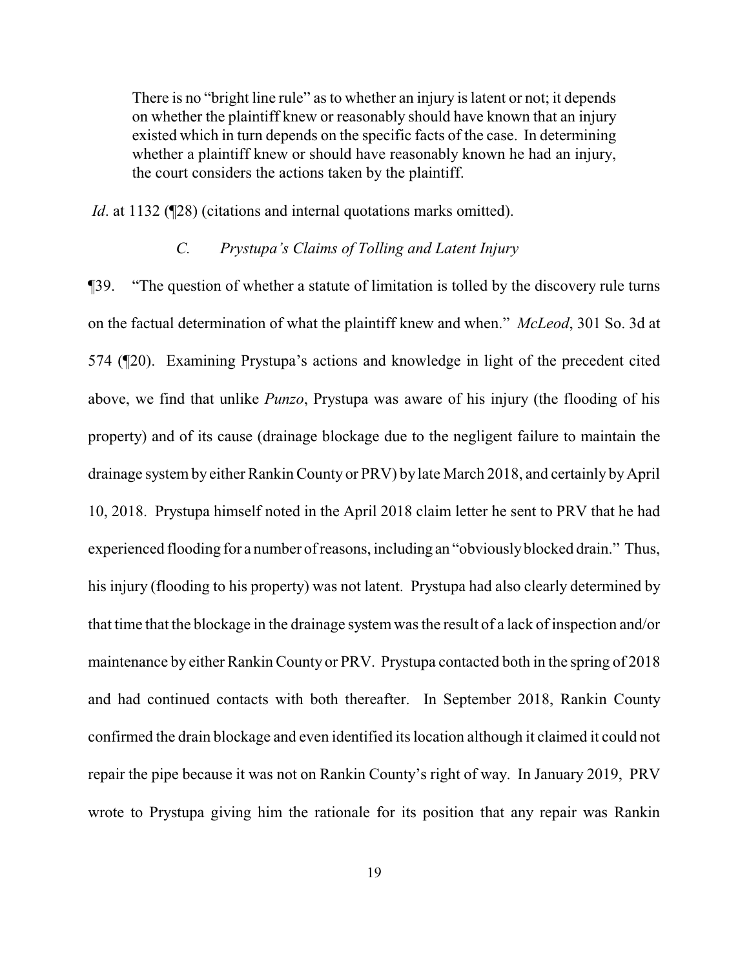There is no "bright line rule" as to whether an injury is latent or not; it depends on whether the plaintiff knew or reasonably should have known that an injury existed which in turn depends on the specific facts of the case. In determining whether a plaintiff knew or should have reasonably known he had an injury, the court considers the actions taken by the plaintiff.

*Id.* at 1132 (¶28) (citations and internal quotations marks omitted).

# *C. Prystupa's Claims of Tolling and Latent Injury*

¶39. "The question of whether a statute of limitation is tolled by the discovery rule turns on the factual determination of what the plaintiff knew and when." *McLeod*, 301 So. 3d at 574 (¶20). Examining Prystupa's actions and knowledge in light of the precedent cited above, we find that unlike *Punzo*, Prystupa was aware of his injury (the flooding of his property) and of its cause (drainage blockage due to the negligent failure to maintain the drainage system by either Rankin County or PRV) by late March 2018, and certainly by April 10, 2018. Prystupa himself noted in the April 2018 claim letter he sent to PRV that he had experienced flooding for a number of reasons, including an "obviously blocked drain." Thus, his injury (flooding to his property) was not latent. Prystupa had also clearly determined by that time that the blockage in the drainage systemwas the result of a lack of inspection and/or maintenance by either Rankin County or PRV. Prystupa contacted both in the spring of 2018 and had continued contacts with both thereafter. In September 2018, Rankin County confirmed the drain blockage and even identified its location although it claimed it could not repair the pipe because it was not on Rankin County's right of way. In January 2019, PRV wrote to Prystupa giving him the rationale for its position that any repair was Rankin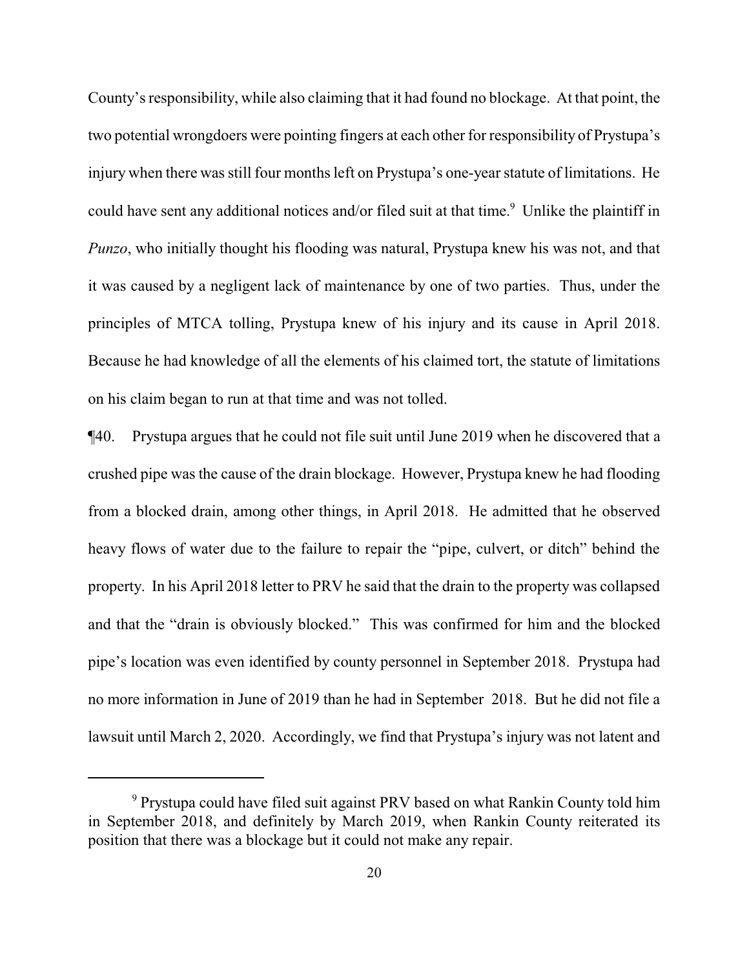County's responsibility, while also claiming that it had found no blockage. At that point, the two potential wrongdoers were pointing fingers at each other for responsibility of Prystupa's injury when there was still four months left on Prystupa's one-year statute of limitations. He could have sent any additional notices and/or filed suit at that time. <sup>9</sup> Unlike the plaintiff in *Punzo*, who initially thought his flooding was natural, Prystupa knew his was not, and that it was caused by a negligent lack of maintenance by one of two parties. Thus, under the principles of MTCA tolling, Prystupa knew of his injury and its cause in April 2018. Because he had knowledge of all the elements of his claimed tort, the statute of limitations on his claim began to run at that time and was not tolled.

¶40. Prystupa argues that he could not file suit until June 2019 when he discovered that a crushed pipe was the cause of the drain blockage. However, Prystupa knew he had flooding from a blocked drain, among other things, in April 2018. He admitted that he observed heavy flows of water due to the failure to repair the "pipe, culvert, or ditch" behind the property. In his April 2018 letter to PRV he said that the drain to the property was collapsed and that the "drain is obviously blocked." This was confirmed for him and the blocked pipe's location was even identified by county personnel in September 2018. Prystupa had no more information in June of 2019 than he had in September 2018. But he did not file a lawsuit until March 2, 2020. Accordingly, we find that Prystupa's injury was not latent and

<sup>9</sup> Prystupa could have filed suit against PRV based on what Rankin County told him in September 2018, and definitely by March 2019, when Rankin County reiterated its position that there was a blockage but it could not make any repair.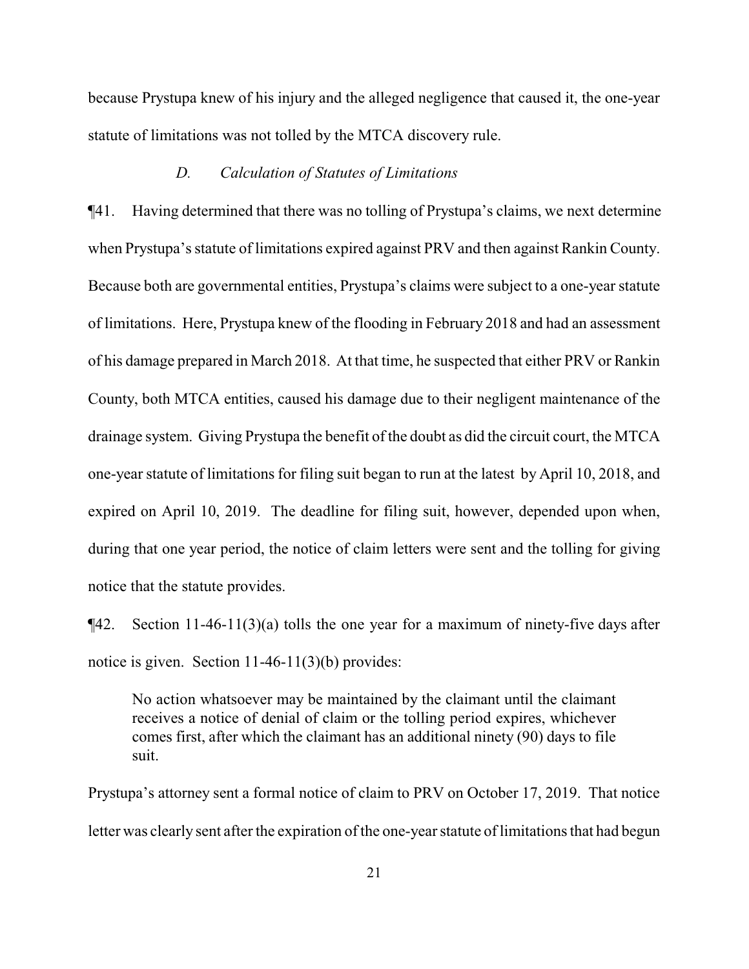because Prystupa knew of his injury and the alleged negligence that caused it, the one-year statute of limitations was not tolled by the MTCA discovery rule.

#### *D. Calculation of Statutes of Limitations*

¶41. Having determined that there was no tolling of Prystupa's claims, we next determine when Prystupa's statute of limitations expired against PRV and then against Rankin County. Because both are governmental entities, Prystupa's claims were subject to a one-year statute of limitations. Here, Prystupa knew of the flooding in February 2018 and had an assessment of his damage prepared in March 2018. At that time, he suspected that either PRV or Rankin County, both MTCA entities, caused his damage due to their negligent maintenance of the drainage system. Giving Prystupa the benefit of the doubt as did the circuit court, the MTCA one-year statute of limitations for filing suit began to run at the latest by April 10, 2018, and expired on April 10, 2019. The deadline for filing suit, however, depended upon when, during that one year period, the notice of claim letters were sent and the tolling for giving notice that the statute provides.

 $\P$ 42. Section 11-46-11(3)(a) tolls the one year for a maximum of ninety-five days after notice is given. Section 11-46-11(3)(b) provides:

No action whatsoever may be maintained by the claimant until the claimant receives a notice of denial of claim or the tolling period expires, whichever comes first, after which the claimant has an additional ninety (90) days to file suit.

Prystupa's attorney sent a formal notice of claim to PRV on October 17, 2019. That notice letter was clearly sent after the expiration of the one-year statute of limitations that had begun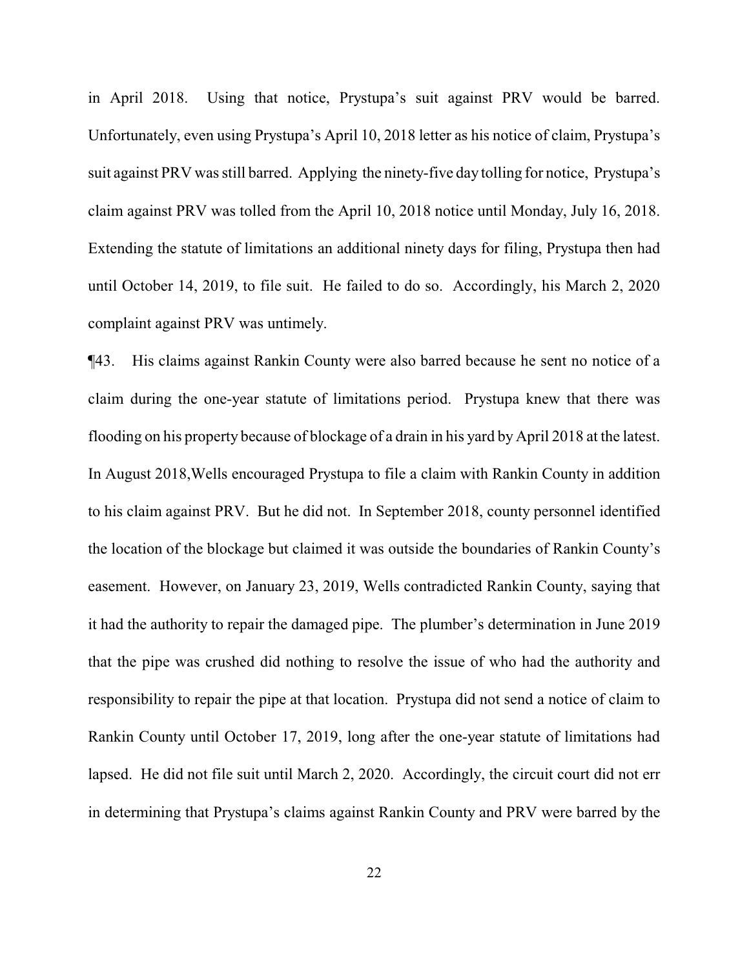in April 2018. Using that notice, Prystupa's suit against PRV would be barred. Unfortunately, even using Prystupa's April 10, 2018 letter as his notice of claim, Prystupa's suit against PRV was still barred. Applying the ninety-five day tolling for notice, Prystupa's claim against PRV was tolled from the April 10, 2018 notice until Monday, July 16, 2018. Extending the statute of limitations an additional ninety days for filing, Prystupa then had until October 14, 2019, to file suit. He failed to do so. Accordingly, his March 2, 2020 complaint against PRV was untimely.

¶43. His claims against Rankin County were also barred because he sent no notice of a claim during the one-year statute of limitations period. Prystupa knew that there was flooding on his property because of blockage of a drain in his yard by April 2018 at the latest. In August 2018,Wells encouraged Prystupa to file a claim with Rankin County in addition to his claim against PRV. But he did not. In September 2018, county personnel identified the location of the blockage but claimed it was outside the boundaries of Rankin County's easement. However, on January 23, 2019, Wells contradicted Rankin County, saying that it had the authority to repair the damaged pipe. The plumber's determination in June 2019 that the pipe was crushed did nothing to resolve the issue of who had the authority and responsibility to repair the pipe at that location. Prystupa did not send a notice of claim to Rankin County until October 17, 2019, long after the one-year statute of limitations had lapsed. He did not file suit until March 2, 2020. Accordingly, the circuit court did not err in determining that Prystupa's claims against Rankin County and PRV were barred by the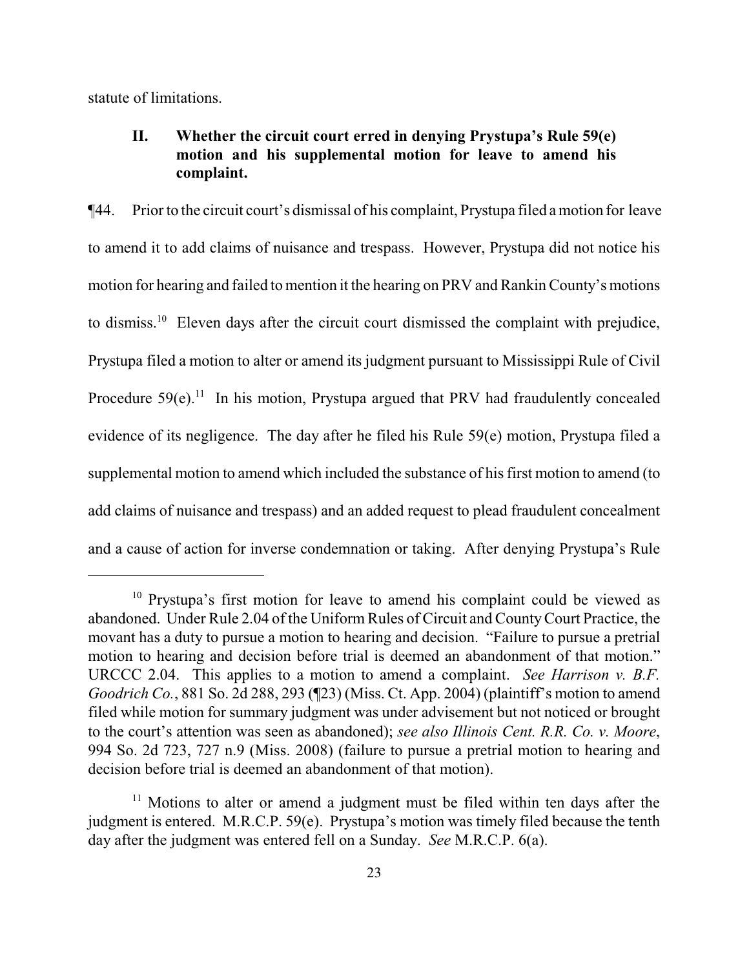statute of limitations.

# **II. Whether the circuit court erred in denying Prystupa's Rule 59(e) motion and his supplemental motion for leave to amend his complaint.**

¶44. Prior to the circuit court's dismissal of his complaint, Prystupa filed a motion for leave to amend it to add claims of nuisance and trespass. However, Prystupa did not notice his motion for hearing and failed to mention it the hearing on PRV and Rankin County's motions to dismiss.<sup>10</sup> Eleven days after the circuit court dismissed the complaint with prejudice, Prystupa filed a motion to alter or amend its judgment pursuant to Mississippi Rule of Civil Procedure  $59(e)$ .<sup>11</sup> In his motion, Prystupa argued that PRV had fraudulently concealed evidence of its negligence. The day after he filed his Rule 59(e) motion, Prystupa filed a supplemental motion to amend which included the substance of his first motion to amend (to add claims of nuisance and trespass) and an added request to plead fraudulent concealment and a cause of action for inverse condemnation or taking. After denying Prystupa's Rule

<sup>&</sup>lt;sup>10</sup> Prystupa's first motion for leave to amend his complaint could be viewed as abandoned. Under Rule 2.04 of the Uniform Rules of Circuit and CountyCourt Practice, the movant has a duty to pursue a motion to hearing and decision. "Failure to pursue a pretrial motion to hearing and decision before trial is deemed an abandonment of that motion." URCCC 2.04. This applies to a motion to amend a complaint. *See Harrison v. B.F. Goodrich Co.*, 881 So. 2d 288, 293 (¶23) (Miss. Ct. App. 2004) (plaintiff's motion to amend filed while motion for summary judgment was under advisement but not noticed or brought to the court's attention was seen as abandoned); *see also Illinois Cent. R.R. Co. v. Moore*, 994 So. 2d 723, 727 n.9 (Miss. 2008) (failure to pursue a pretrial motion to hearing and decision before trial is deemed an abandonment of that motion).

 $11$  Motions to alter or amend a judgment must be filed within ten days after the judgment is entered. M.R.C.P. 59(e). Prystupa's motion was timely filed because the tenth day after the judgment was entered fell on a Sunday. *See* M.R.C.P. 6(a).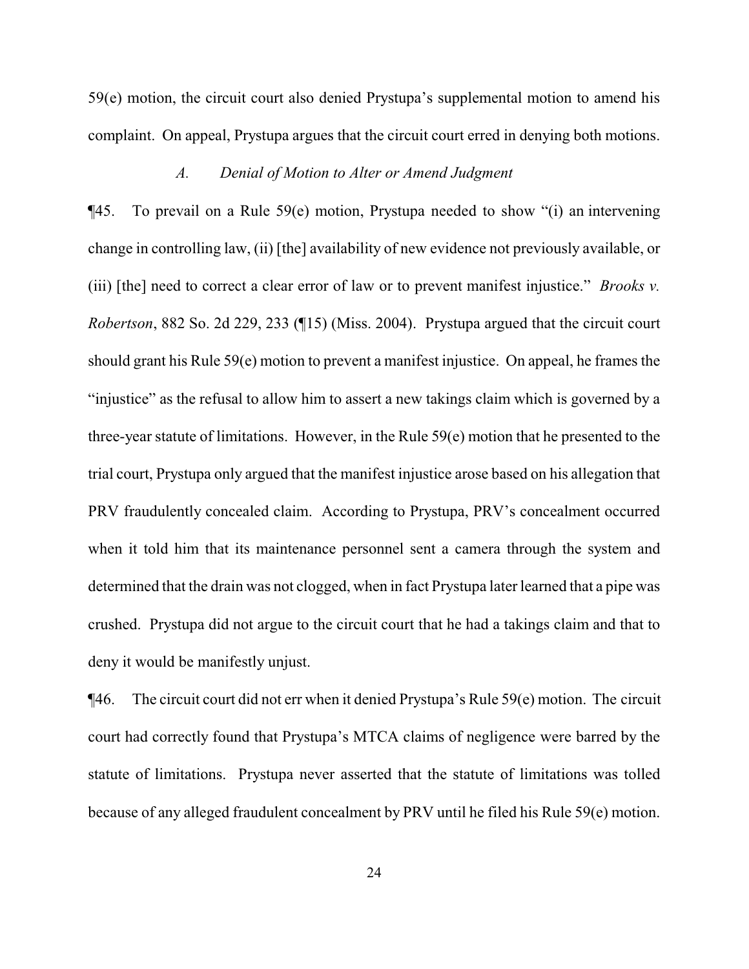59(e) motion, the circuit court also denied Prystupa's supplemental motion to amend his complaint. On appeal, Prystupa argues that the circuit court erred in denying both motions.

#### *A. Denial of Motion to Alter or Amend Judgment*

¶45. To prevail on a Rule 59(e) motion, Prystupa needed to show "(i) an intervening change in controlling law, (ii) [the] availability of new evidence not previously available, or (iii) [the] need to correct a clear error of law or to prevent manifest injustice." *Brooks v. Robertson*, 882 So. 2d 229, 233 (¶15) (Miss. 2004). Prystupa argued that the circuit court should grant his Rule 59(e) motion to prevent a manifest injustice. On appeal, he frames the "injustice" as the refusal to allow him to assert a new takings claim which is governed by a three-year statute of limitations. However, in the Rule 59(e) motion that he presented to the trial court, Prystupa only argued that the manifest injustice arose based on his allegation that PRV fraudulently concealed claim. According to Prystupa, PRV's concealment occurred when it told him that its maintenance personnel sent a camera through the system and determined that the drain was not clogged, when in fact Prystupa later learned that a pipe was crushed. Prystupa did not argue to the circuit court that he had a takings claim and that to deny it would be manifestly unjust.

¶46. The circuit court did not err when it denied Prystupa's Rule 59(e) motion. The circuit court had correctly found that Prystupa's MTCA claims of negligence were barred by the statute of limitations. Prystupa never asserted that the statute of limitations was tolled because of any alleged fraudulent concealment by PRV until he filed his Rule 59(e) motion.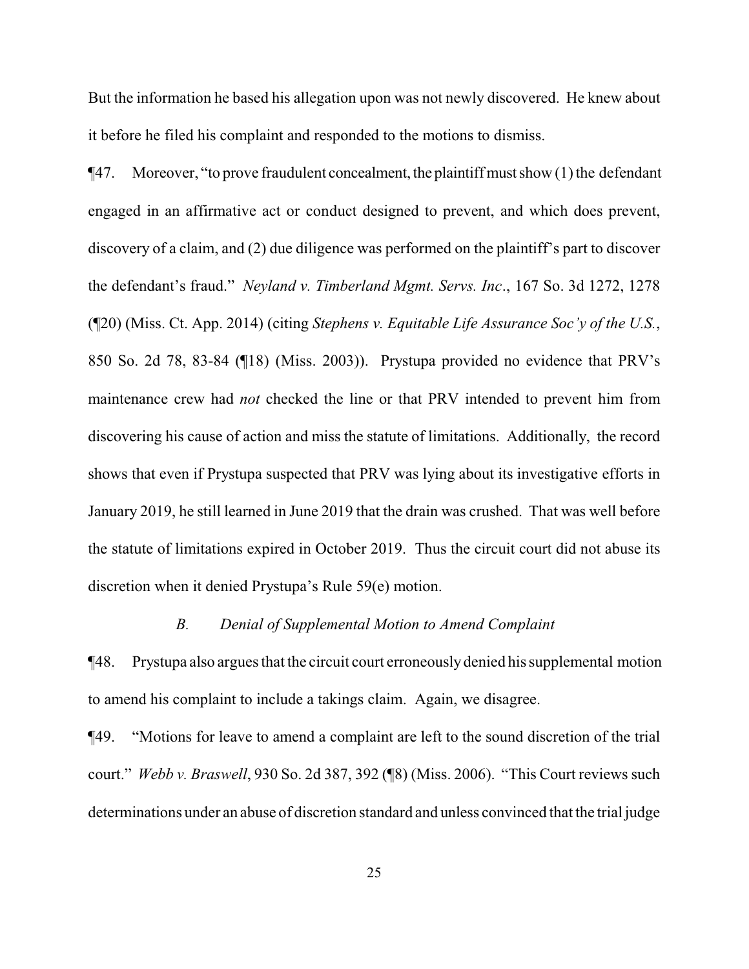But the information he based his allegation upon was not newly discovered. He knew about it before he filed his complaint and responded to the motions to dismiss.

 $\P$ 47. Moreover, "to prove fraudulent concealment, the plaintiff must show (1) the defendant engaged in an affirmative act or conduct designed to prevent, and which does prevent, discovery of a claim, and (2) due diligence was performed on the plaintiff's part to discover the defendant's fraud." *Neyland v. Timberland Mgmt. Servs. Inc*., 167 So. 3d 1272, 1278 (¶20) (Miss. Ct. App. 2014) (citing *Stephens v. Equitable Life Assurance Soc'y of the U.S.*, 850 So. 2d 78, 83-84 (¶18) (Miss. 2003)). Prystupa provided no evidence that PRV's maintenance crew had *not* checked the line or that PRV intended to prevent him from discovering his cause of action and miss the statute of limitations. Additionally, the record shows that even if Prystupa suspected that PRV was lying about its investigative efforts in January 2019, he still learned in June 2019 that the drain was crushed. That was well before the statute of limitations expired in October 2019. Thus the circuit court did not abuse its discretion when it denied Prystupa's Rule 59(e) motion.

#### *B. Denial of Supplemental Motion to Amend Complaint*

¶48. Prystupa also argues that the circuit court erroneouslydenied his supplemental motion to amend his complaint to include a takings claim. Again, we disagree.

¶49. "Motions for leave to amend a complaint are left to the sound discretion of the trial court." *Webb v. Braswell*, 930 So. 2d 387, 392 (¶8) (Miss. 2006). "This Court reviews such determinations under an abuse of discretion standard and unless convinced that the trial judge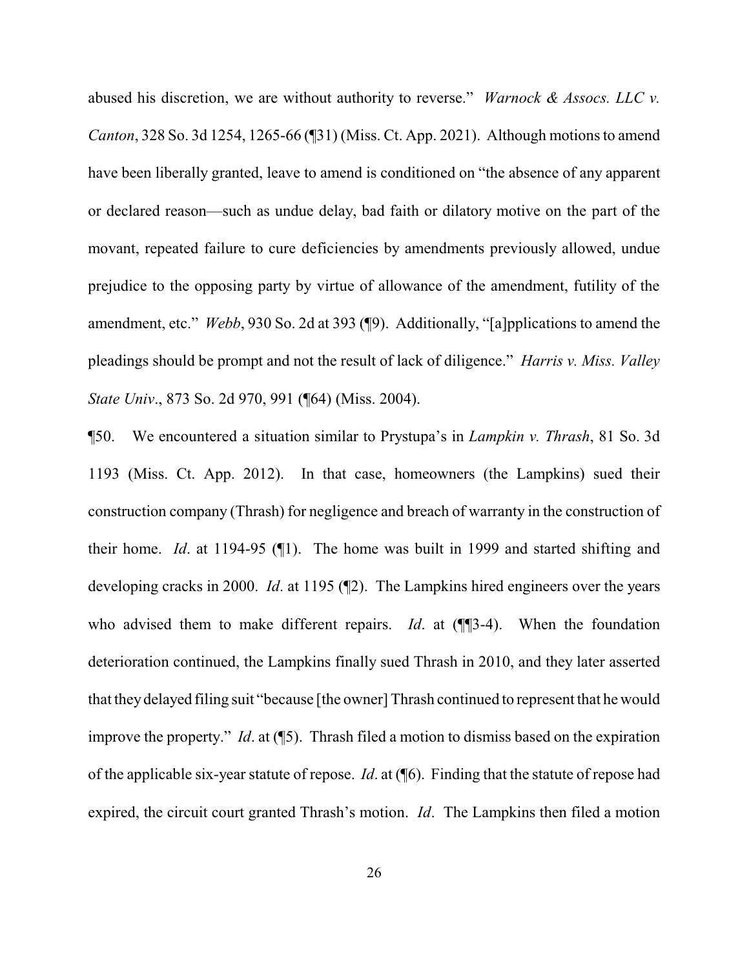abused his discretion, we are without authority to reverse." *Warnock & Assocs. LLC v. Canton*, 328 So. 3d 1254, 1265-66 (¶31) (Miss. Ct. App. 2021). Although motions to amend have been liberally granted, leave to amend is conditioned on "the absence of any apparent or declared reason—such as undue delay, bad faith or dilatory motive on the part of the movant, repeated failure to cure deficiencies by amendments previously allowed, undue prejudice to the opposing party by virtue of allowance of the amendment, futility of the amendment, etc." *Webb*, 930 So. 2d at 393 (¶9). Additionally, "[a]pplications to amend the pleadings should be prompt and not the result of lack of diligence." *Harris v. Miss. Valley State Univ*., 873 So. 2d 970, 991 (¶64) (Miss. 2004).

¶50. We encountered a situation similar to Prystupa's in *Lampkin v. Thrash*, 81 So. 3d 1193 (Miss. Ct. App. 2012). In that case, homeowners (the Lampkins) sued their construction company (Thrash) for negligence and breach of warranty in the construction of their home. *Id*. at 1194-95 (¶1). The home was built in 1999 and started shifting and developing cracks in 2000. *Id*. at 1195 (¶2). The Lampkins hired engineers over the years who advised them to make different repairs. *Id*. at ( $\P$ 3-4). When the foundation deterioration continued, the Lampkins finally sued Thrash in 2010, and they later asserted that theydelayed filing suit "because [the owner] Thrash continued to represent that he would improve the property." *Id*. at (¶5). Thrash filed a motion to dismiss based on the expiration of the applicable six-year statute of repose. *Id*. at (¶6). Finding that the statute of repose had expired, the circuit court granted Thrash's motion. *Id*. The Lampkins then filed a motion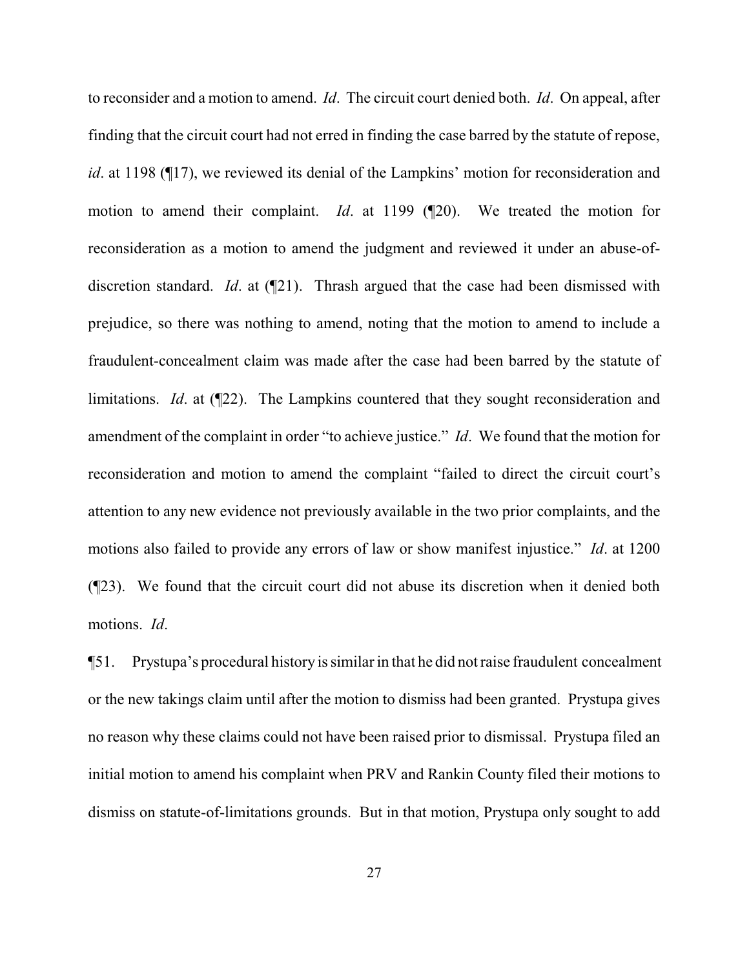to reconsider and a motion to amend. *Id*. The circuit court denied both. *Id*. On appeal, after finding that the circuit court had not erred in finding the case barred by the statute of repose, *id*. at 1198 (¶17), we reviewed its denial of the Lampkins' motion for reconsideration and motion to amend their complaint. *Id*. at 1199 (¶20). We treated the motion for reconsideration as a motion to amend the judgment and reviewed it under an abuse-ofdiscretion standard. *Id*. at (¶21). Thrash argued that the case had been dismissed with prejudice, so there was nothing to amend, noting that the motion to amend to include a fraudulent-concealment claim was made after the case had been barred by the statute of limitations. *Id*. at (¶22). The Lampkins countered that they sought reconsideration and amendment of the complaint in order "to achieve justice." *Id*. We found that the motion for reconsideration and motion to amend the complaint "failed to direct the circuit court's attention to any new evidence not previously available in the two prior complaints, and the motions also failed to provide any errors of law or show manifest injustice." *Id*. at 1200 (¶23). We found that the circuit court did not abuse its discretion when it denied both motions. *Id*.

¶51. Prystupa's procedural history is similar in that he did not raise fraudulent concealment or the new takings claim until after the motion to dismiss had been granted. Prystupa gives no reason why these claims could not have been raised prior to dismissal. Prystupa filed an initial motion to amend his complaint when PRV and Rankin County filed their motions to dismiss on statute-of-limitations grounds. But in that motion, Prystupa only sought to add